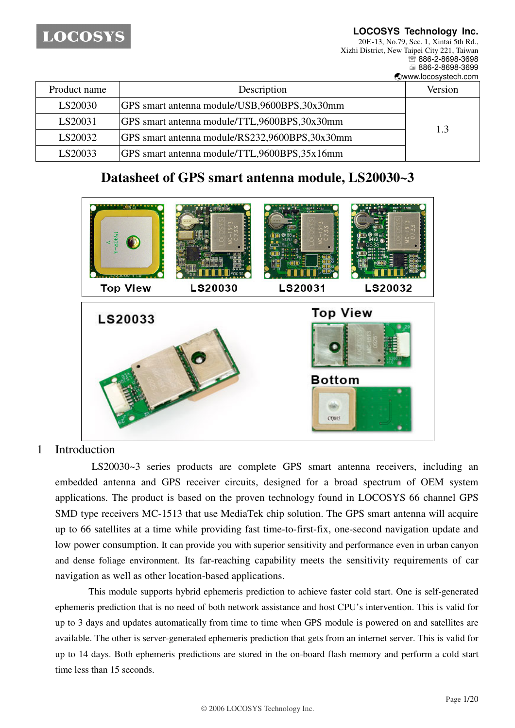**LOCOSYS Technology Inc.**

20F.-13, No.79, Sec. 1, Xintai 5th Rd., Xizhi District, New Taipei City 221, Taiwan ℡ 886-2-8698-3698 886-2-8698-3699  $\bullet$ www.locosystech.com

|              |                                                | <b>EVILLATION CONTROLLED</b> |
|--------------|------------------------------------------------|------------------------------|
| Product name | Description                                    | Version                      |
| LS20030      | GPS smart antenna module/USB,9600BPS,30x30mm   |                              |
| LS20031      | GPS smart antenna module/TTL,9600BPS,30x30mm   | 1.3                          |
| LS20032      | GPS smart antenna module/RS232,9600BPS,30x30mm |                              |
| LS20033      | GPS smart antenna module/TTL,9600BPS,35x16mm   |                              |

# **Datasheet of GPS smart antenna module, LS20030~3**



### 1 Introduction

LS20030~3 series products are complete GPS smart antenna receivers, including an embedded antenna and GPS receiver circuits, designed for a broad spectrum of OEM system applications. The product is based on the proven technology found in LOCOSYS 66 channel GPS SMD type receivers MC-1513 that use MediaTek chip solution. The GPS smart antenna will acquire up to 66 satellites at a time while providing fast time-to-first-fix, one-second navigation update and low power consumption. It can provide you with superior sensitivity and performance even in urban canyon and dense foliage environment. Its far-reaching capability meets the sensitivity requirements of car navigation as well as other location-based applications.

This module supports hybrid ephemeris prediction to achieve faster cold start. One is self-generated ephemeris prediction that is no need of both network assistance and host CPU's intervention. This is valid for up to 3 days and updates automatically from time to time when GPS module is powered on and satellites are available. The other is server-generated ephemeris prediction that gets from an internet server. This is valid for up to 14 days. Both ephemeris predictions are stored in the on-board flash memory and perform a cold start time less than 15 seconds.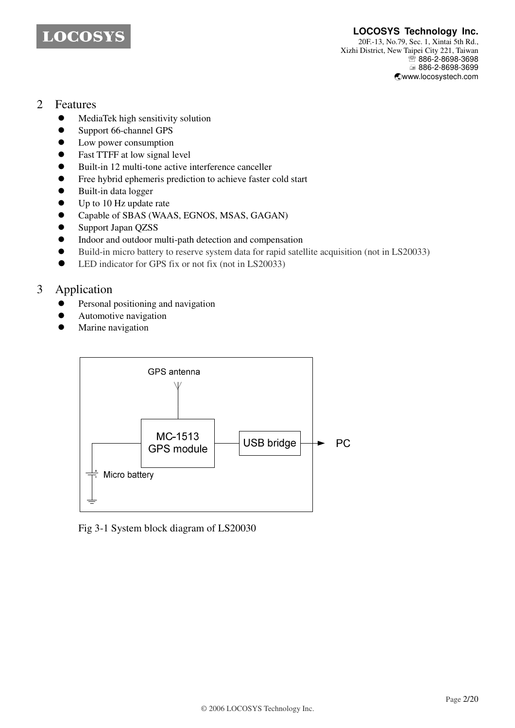

## 2 Features

- MediaTek high sensitivity solution
- Support 66-channel GPS
- Low power consumption
- Fast TTFF at low signal level
- Built-in 12 multi-tone active interference canceller
- Free hybrid ephemeris prediction to achieve faster cold start
- Built-in data logger
- Up to 10 Hz update rate
- Capable of SBAS (WAAS, EGNOS, MSAS, GAGAN)
- Support Japan QZSS
- Indoor and outdoor multi-path detection and compensation
- Build-in micro battery to reserve system data for rapid satellite acquisition (not in LS20033)
- LED indicator for GPS fix or not fix (not in LS20033)

# 3 Application

- Personal positioning and navigation
- Automotive navigation
- Marine navigation



Fig 3-1 System block diagram of LS20030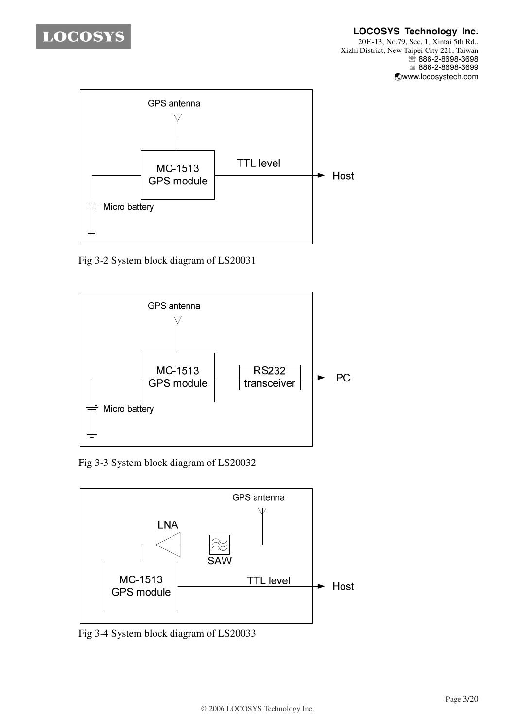



Fig 3-2 System block diagram of LS20031



Fig 3-3 System block diagram of LS20032



Fig 3-4 System block diagram of LS20033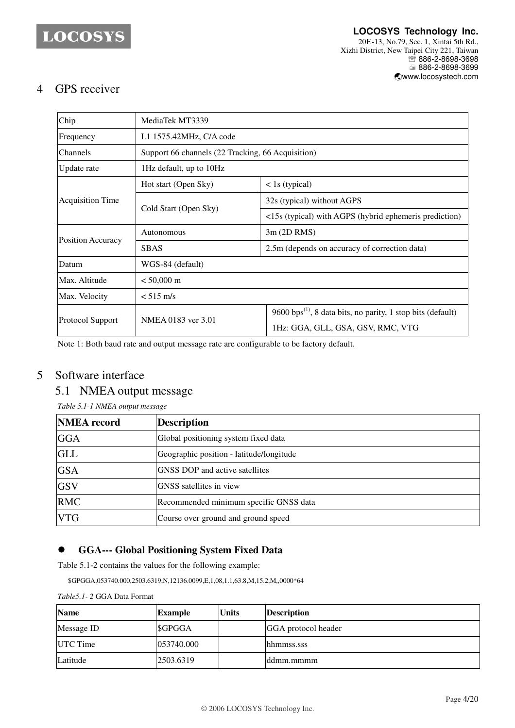# 4 GPS receiver

| Chip                     | MediaTek MT3339                                   |                                                                         |  |  |
|--------------------------|---------------------------------------------------|-------------------------------------------------------------------------|--|--|
| Frequency                | L1 1575.42MHz, C/A code                           |                                                                         |  |  |
| <b>Channels</b>          | Support 66 channels (22 Tracking, 66 Acquisition) |                                                                         |  |  |
| Update rate              | 1Hz default, up to 10Hz                           |                                                                         |  |  |
|                          | Hot start (Open Sky)                              | $\langle$ 1s (typical)                                                  |  |  |
| <b>Acquisition Time</b>  | Cold Start (Open Sky)                             | 32s (typical) without AGPS                                              |  |  |
|                          |                                                   | <15s (typical) with AGPS (hybrid ephemeris prediction)                  |  |  |
| <b>Position Accuracy</b> | Autonomous                                        | 3m (2D RMS)                                                             |  |  |
|                          | <b>SBAS</b>                                       | 2.5m (depends on accuracy of correction data)                           |  |  |
| Datum                    | WGS-84 (default)                                  |                                                                         |  |  |
| Max. Altitude            | $< 50,000 \text{ m}$                              |                                                                         |  |  |
| Max. Velocity            | $< 515$ m/s                                       |                                                                         |  |  |
| Protocol Support         |                                                   | 9600 bps <sup>(1)</sup> , 8 data bits, no parity, 1 stop bits (default) |  |  |
|                          | NMEA 0183 ver 3.01                                | 1Hz: GGA, GLL, GSA, GSV, RMC, VTG                                       |  |  |

Note 1: Both baud rate and output message rate are configurable to be factory default.

# 5 Software interface

# 5.1 NMEA output message

*Table 5.1-1 NMEA output message*

| <b>NMEA</b> record | <b>Description</b>                       |
|--------------------|------------------------------------------|
| <b>GGA</b>         | Global positioning system fixed data     |
| <b>GLL</b>         | Geographic position - latitude/longitude |
| <b>GSA</b>         | <b>GNSS DOP</b> and active satellites    |
| <b>GSV</b>         | GNSS satellites in view                  |
| <b>RMC</b>         | Recommended minimum specific GNSS data   |
| <b>VTG</b>         | Course over ground and ground speed      |

### **GGA--- Global Positioning System Fixed Data**

Table 5.1-2 contains the values for the following example:

\$GPGGA,053740.000,2503.6319,N,12136.0099,E,1,08,1.1,63.8,M,15.2,M,,0000\*64

#### *Table5.1- 2* GGA Data Format

| <b>Name</b> | Example    | <b>Units</b> | <b>Description</b>  |
|-------------|------------|--------------|---------------------|
| Message ID  | \$GPGGA    |              | GGA protocol header |
| UTC Time    | 053740.000 |              | lhhmmss.sss         |
| Latitude    | 2503.6319  |              | lddmm.mmmm          |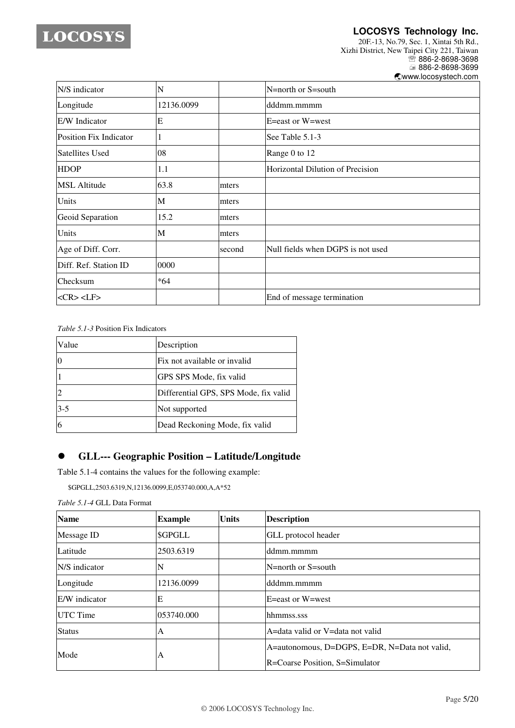

**LOCOSYS Technology Inc.**

20F.-13, No.79, Sec. 1, Xintai 5th Rd., Xizhi District, New Taipei City 221, Taiwan <sup>®</sup>886-2-8698-3698 ■ 886-2-8698-3699 -www.locosystech.com

| N/S indicator          | N          |        | N=north or S=south                |
|------------------------|------------|--------|-----------------------------------|
| Longitude              | 12136.0099 |        | dddmm.mmmm                        |
| E/W Indicator          | E          |        | E=east or W=west                  |
| Position Fix Indicator | 1          |        | See Table 5.1-3                   |
| <b>Satellites Used</b> | 08         |        | Range 0 to 12                     |
| <b>HDOP</b>            | 1.1        |        | Horizontal Dilution of Precision  |
| <b>MSL Altitude</b>    | 63.8       | mters  |                                   |
| Units                  | M          | mters  |                                   |
| Geoid Separation       | 15.2       | mters  |                                   |
| Units                  | M          | mters  |                                   |
| Age of Diff. Corr.     |            | second | Null fields when DGPS is not used |
| Diff. Ref. Station ID  | 0000       |        |                                   |
| Checksum               | $*64$      |        |                                   |
| $<$ CR> <lf></lf>      |            |        | End of message termination        |

*Table 5.1-3* Position Fix Indicators

| Value   | Description                           |
|---------|---------------------------------------|
|         | Fix not available or invalid          |
|         | GPS SPS Mode, fix valid               |
|         | Differential GPS, SPS Mode, fix valid |
| $3 - 5$ | Not supported                         |
|         | Dead Reckoning Mode, fix valid        |

## **GLL--- Geographic Position – Latitude/Longitude**

Table 5.1-4 contains the values for the following example:

\$GPGLL,2503.6319,N,12136.0099,E,053740.000,A,A\*52

*Table 5.1-4* GLL Data Format

| <b>Name</b>     | <b>Example</b> | <b>Units</b> | <b>Description</b>                            |
|-----------------|----------------|--------------|-----------------------------------------------|
| Message ID      | <b>SGPGLL</b>  |              | GLL protocol header                           |
| Latitude        | 2503.6319      |              | ddmm.mmmm                                     |
| N/S indicator   | N              |              | $N =$ north or S $=$ south                    |
| Longitude       | 12136.0099     |              | dddmm.mmmm                                    |
| E/W indicator   | E              |              | E=east or W=west                              |
| <b>UTC</b> Time | 053740.000     |              | hhmmss.sss                                    |
| <b>Status</b>   | A              |              | A=data valid or V=data not valid              |
| Mode            | A              |              | A=autonomous, D=DGPS, E=DR, N=Data not valid, |
|                 |                |              | <b>R</b> =Coarse Position, S=Simulator        |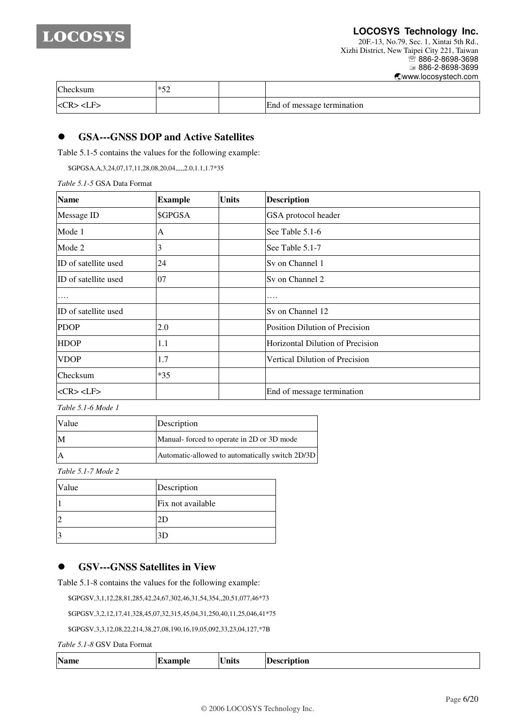

#### **LOCOSYS Technology Inc.**

20F.-13, No.79, Sec. 1, Xintai 5th Rd., Xizhi District, New Taipei City 221, Taiwan <sup>■</sup>886-2-8698-3698 886-2-8698-3699 -www.locosystech.com

| Checksum                           | $*5^{\circ}$ |                            |  |
|------------------------------------|--------------|----------------------------|--|
| $<$ CR $>$ <lf<math>&gt;</lf<math> |              | End of message termination |  |

#### **GSA---GNSS DOP and Active Satellites**

Table 5.1-5 contains the values for the following example:

\$GPGSA,A,3,24,07,17,11,28,08,20,04,,,,,2.0,1.1,1.7\*35

*Table 5.1-5* GSA Data Format

| <b>Name</b>          | <b>Example</b> | <b>Units</b> | <b>Description</b>               |
|----------------------|----------------|--------------|----------------------------------|
| Message ID           | \$GPGSA        |              | GSA protocol header              |
| Mode 1               | А              |              | See Table 5.1-6                  |
| Mode 2               | 3              |              | See Table 5.1-7                  |
| ID of satellite used | 24             |              | Sy on Channel 1                  |
| ID of satellite used | 07             |              | Sy on Channel 2                  |
| .                    |                |              | .                                |
| ID of satellite used |                |              | Sy on Channel 12                 |
| <b>PDOP</b>          | 2.0            |              | Position Dilution of Precision   |
| <b>HDOP</b>          | 1.1            |              | Horizontal Dilution of Precision |
| <b>VDOP</b>          | 1.7            |              | Vertical Dilution of Precision   |
| Checksum             | $*35$          |              |                                  |
| $<$ CR> <lf></lf>    |                |              | End of message termination       |

*Table 5.1-6 Mode 1*

| <b>Value</b> | Description                                     |  |  |
|--------------|-------------------------------------------------|--|--|
|              | Manual-forced to operate in 2D or 3D mode       |  |  |
|              | Automatic-allowed to automatically switch 2D/3D |  |  |

*Table 5.1-7 Mode 2*

| Value          | Description       |
|----------------|-------------------|
|                | Fix not available |
| $\overline{2}$ | ΖU                |
| $\overline{3}$ | 3D                |

### **GSV---GNSS Satellites in View**

Table 5.1-8 contains the values for the following example:

\$GPGSV,3,1,12,28,81,285,42,24,67,302,46,31,54,354,,20,51,077,46\*73

\$GPGSV,3,2,12,17,41,328,45,07,32,315,45,04,31,250,40,11,25,046,41\*75

\$GPGSV,3,3,12,08,22,214,38,27,08,190,16,19,05,092,33,23,04,127,\*7B

*Table 5.1-8* GSV Data Format

| <b>Name</b> | ∪nits<br>______ | <b>escription</b><br>$ -$ |
|-------------|-----------------|---------------------------|
|-------------|-----------------|---------------------------|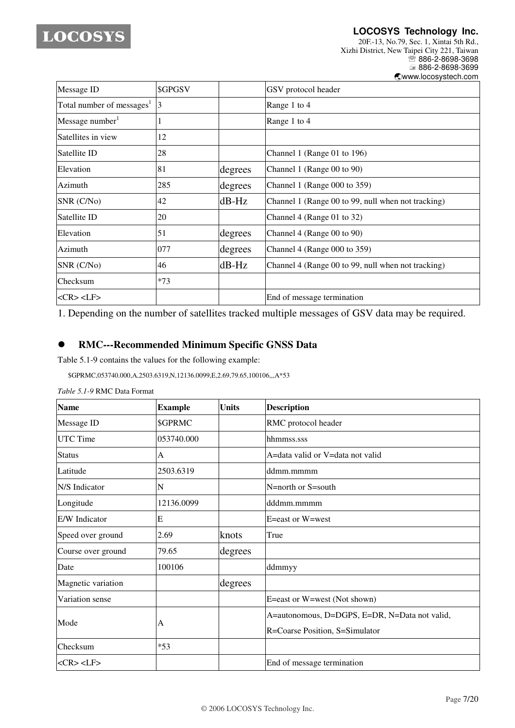**LOCOSYS Technology Inc.** 20F.-13, No.79, Sec. 1, Xintai 5th Rd., Xizhi District, New Taipei City 221, Taiwan <sup>®</sup>886-2-8698-3698 ■ 886-2-8698-3699 -www.locosystech.com

| Message ID                            | \$GPGSV |         | GSV protocol header                                |
|---------------------------------------|---------|---------|----------------------------------------------------|
| Total number of messages <sup>1</sup> | 3       |         | Range 1 to 4                                       |
| Message number <sup>1</sup>           |         |         | Range 1 to 4                                       |
| Satellites in view                    | 12      |         |                                                    |
| Satellite ID                          | 28      |         | Channel 1 (Range 01 to 196)                        |
| Elevation                             | 81      | degrees | Channel 1 (Range 00 to 90)                         |
| Azimuth                               | 285     | degrees | Channel 1 (Range 000 to 359)                       |
| SNR (C/No)                            | 42      | $dB-Hz$ | Channel 1 (Range 00 to 99, null when not tracking) |
| Satellite ID                          | 20      |         | Channel 4 (Range 01 to 32)                         |
| Elevation                             | 51      | degrees | Channel 4 (Range 00 to 90)                         |
| Azimuth                               | 077     | degrees | Channel 4 (Range 000 to 359)                       |
| SNR (C/No)                            | 46      | $dB-Hz$ | Channel 4 (Range 00 to 99, null when not tracking) |
| <b>Checksum</b>                       | $*73$   |         |                                                    |
| $<$ CR> $<$ LF>                       |         |         | End of message termination                         |

1. Depending on the number of satellites tracked multiple messages of GSV data may be required.

### **RMC---Recommended Minimum Specific GNSS Data**

Table 5.1-9 contains the values for the following example:

\$GPRMC,053740.000,A,2503.6319,N,12136.0099,E,2.69,79.65,100106,,,A\*53

| <b>Name</b>        | <b>Example</b> | <b>Units</b> | <b>Description</b>                            |
|--------------------|----------------|--------------|-----------------------------------------------|
| Message ID         | <b>\$GPRMC</b> |              | RMC protocol header                           |
| <b>UTC</b> Time    | 053740.000     |              | hhmmss.sss                                    |
| <b>Status</b>      | А              |              | A=data valid or V=data not valid              |
| Latitude           | 2503.6319      |              | ddmm.mmmm                                     |
| N/S Indicator      | N              |              | N=north or S=south                            |
| Longitude          | 12136.0099     |              | dddmm.mmmm                                    |
| E/W Indicator      | E              |              | E=east or W=west                              |
| Speed over ground  | 2.69           | knots        | True                                          |
| Course over ground | 79.65          | degrees      |                                               |
| Date               | 100106         |              | ddmmyy                                        |
| Magnetic variation |                | degrees      |                                               |
| Variation sense    |                |              | E=east or W=west (Not shown)                  |
|                    |                |              | A=autonomous, D=DGPS, E=DR, N=Data not valid, |
| Mode               | A              |              | R=Coarse Position, S=Simulator                |
| Checksum           | $*53$          |              |                                               |
| $<$ CR> $<$ LF>    |                |              | End of message termination                    |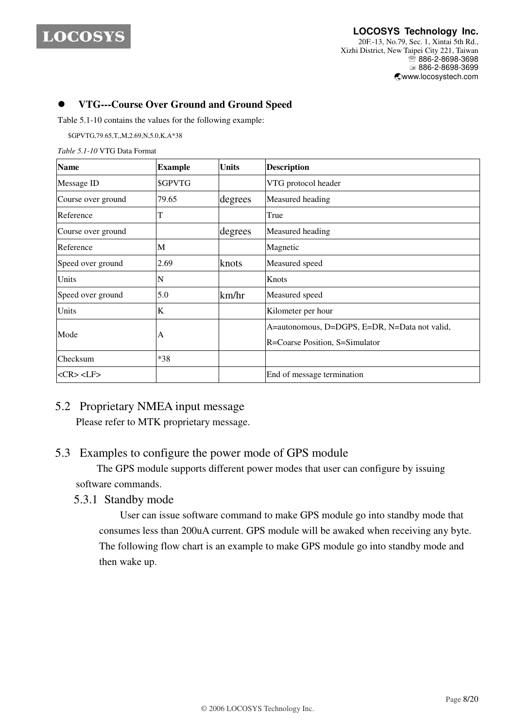

#### **LOCOSYS Technology Inc.** 20F.-13, No.79, Sec. 1, Xintai 5th Rd., Xizhi District, New Taipei City 221, Taiwan **<sup></sub> 8</sup>886-2-8698-3698**  886-2-8698-3699 -www.locosystech.com

### **VTG---Course Over Ground and Ground Speed**

Table 5.1-10 contains the values for the following example:

\$GPVTG,79.65,T,,M,2.69,N,5.0,K,A\*38

*Table 5.1-10* VTG Data Format

| <b>Name</b>        | <b>Example</b> | <b>Units</b> | <b>Description</b>                                                              |
|--------------------|----------------|--------------|---------------------------------------------------------------------------------|
| Message ID         | \$GPVTG        |              | VTG protocol header                                                             |
| Course over ground | 79.65          | degrees      | Measured heading                                                                |
| Reference          | T              |              | True                                                                            |
| Course over ground |                | degrees      | Measured heading                                                                |
| Reference          | M              |              | Magnetic                                                                        |
| Speed over ground  | 2.69           | knots        | Measured speed                                                                  |
| Units              | N              |              | Knots                                                                           |
| Speed over ground  | 5.0            | km/hr        | Measured speed                                                                  |
| Units              | K              |              | Kilometer per hour                                                              |
| Mode               | А              |              | A=autonomous, D=DGPS, E=DR, N=Data not valid,<br>R=Coarse Position, S=Simulator |
| Checksum           | $*38$          |              |                                                                                 |
| $<$ CR> $<$ LF>    |                |              | End of message termination                                                      |

# 5.2 Proprietary NMEA input message

Please refer to MTK proprietary message.

## 5.3 Examples to configure the power mode of GPS module

The GPS module supports different power modes that user can configure by issuing software commands.

### 5.3.1 Standby mode

User can issue software command to make GPS module go into standby mode that consumes less than 200uA current. GPS module will be awaked when receiving any byte. The following flow chart is an example to make GPS module go into standby mode and then wake up.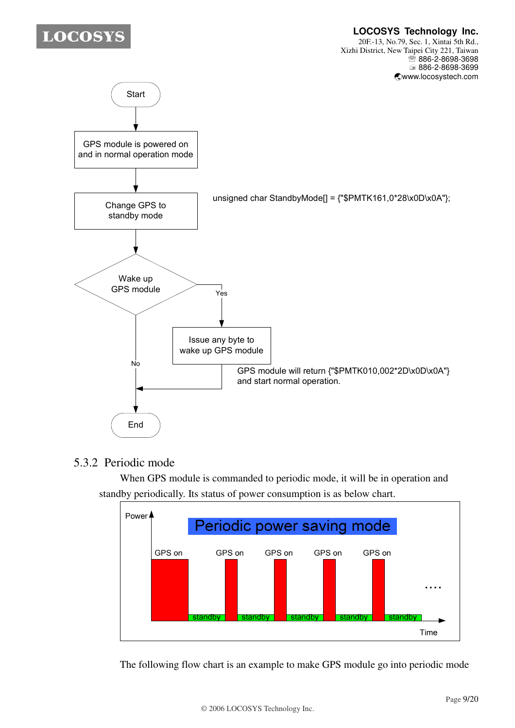#### **LOCOSYS Technology Inc.** 20F.-13, No.79, Sec. 1, Xintai 5th Rd., Xizhi District, New Taipei City 221, Taiwan **<sup></sub> 8</sup>886-2-8698-3698**



# 5.3.2 Periodic mode

When GPS module is commanded to periodic mode, it will be in operation and standby periodically. Its status of power consumption is as below chart.



The following flow chart is an example to make GPS module go into periodic mode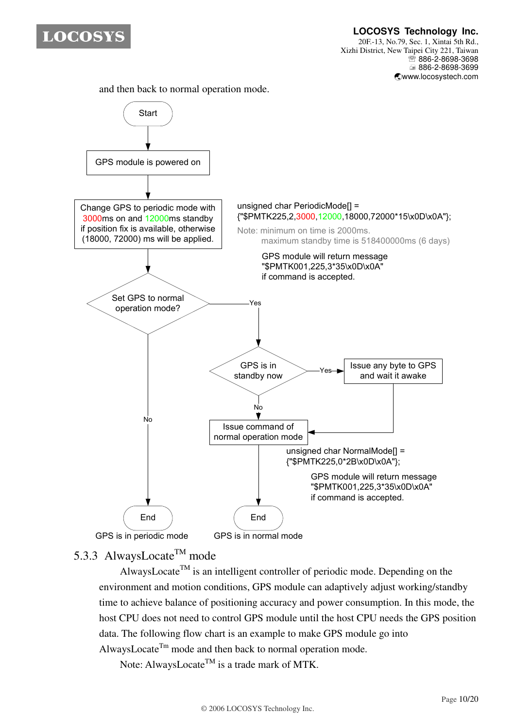

**LOCOSYS Technology Inc.** 20F.-13, No.79, Sec. 1, Xintai 5th Rd., Xizhi District, New Taipei City 221, Taiwan **<sup></sub> 886-2-8698-3698**</sup> 886-2-8698-3699 -www.locosystech.com

and then back to normal operation mode.



# 5.3.3 AlwaysLocate<sup>TM</sup> mode

AlwaysLocate<sup>TM</sup> is an intelligent controller of periodic mode. Depending on the environment and motion conditions, GPS module can adaptively adjust working/standby time to achieve balance of positioning accuracy and power consumption. In this mode, the host CPU does not need to control GPS module until the host CPU needs the GPS position data. The following flow chart is an example to make GPS module go into AlwaysLocate<sup>Tm</sup> mode and then back to normal operation mode.

Note: AlwaysLocate<sup>TM</sup> is a trade mark of MTK.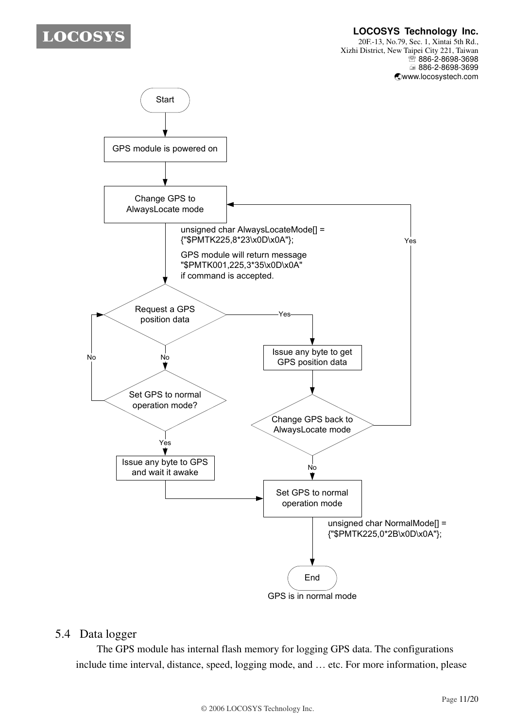**LOCOSYS Technology Inc.**

20F.-13, No.79, Sec. 1, Xintai 5th Rd., Xizhi District, New Taipei City 221, Taiwan **<sup></sub> 8</sup>886-2-8698-3698**  886-2-8698-3699 -www.locosystech.com



# 5.4 Data logger

The GPS module has internal flash memory for logging GPS data. The configurations include time interval, distance, speed, logging mode, and … etc. For more information, please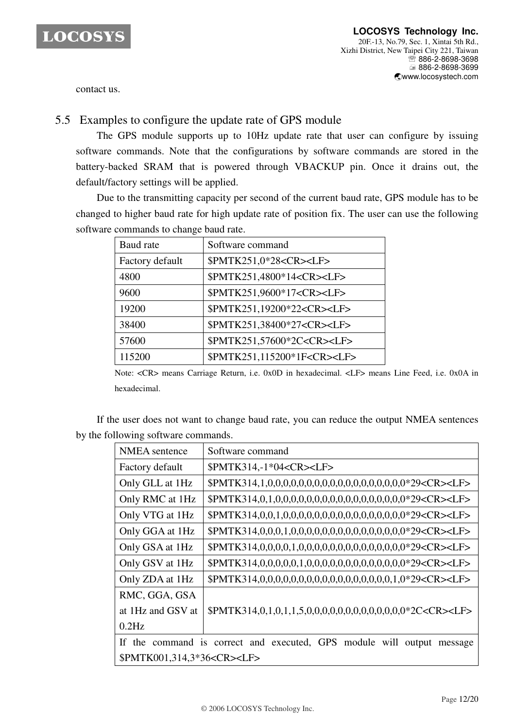

contact us.

# 5.5 Examples to configure the update rate of GPS module

The GPS module supports up to 10Hz update rate that user can configure by issuing software commands. Note that the configurations by software commands are stored in the battery-backed SRAM that is powered through VBACKUP pin. Once it drains out, the default/factory settings will be applied.

Due to the transmitting capacity per second of the current baud rate, GPS module has to be changed to higher baud rate for high update rate of position fix. The user can use the following software commands to change baud rate.

| Baud rate       | Software command                       |
|-----------------|----------------------------------------|
| Factory default | \$PMTK251,0*28 <cr><lf></lf></cr>      |
| 4800            | \$PMTK251,4800*14 <cr><lf></lf></cr>   |
| 9600            | \$PMTK251,9600*17 <cr><lf></lf></cr>   |
| 19200           | \$PMTK251,19200*22 <cr><lf></lf></cr>  |
| 38400           | \$PMTK251,38400*27 <cr><lf></lf></cr>  |
| 57600           | \$PMTK251,57600*2C <cr><lf></lf></cr>  |
| 115200          | \$PMTK251,115200*1F <cr><lf></lf></cr> |

Note: <CR> means Carriage Return, i.e. 0x0D in hexadecimal. <LF> means Line Feed, i.e. 0x0A in hexadecimal.

If the user does not want to change baud rate, you can reduce the output NMEA sentences by the following software commands.

| <b>NMEA</b> sentence                                                   | Software command                                                      |  |  |  |
|------------------------------------------------------------------------|-----------------------------------------------------------------------|--|--|--|
| Factory default                                                        | \$PMTK314,-1*04 <cr><lf></lf></cr>                                    |  |  |  |
| Only GLL at 1Hz                                                        |                                                                       |  |  |  |
| Only RMC at 1Hz                                                        |                                                                       |  |  |  |
| Only VTG at 1Hz                                                        |                                                                       |  |  |  |
| Only GGA at 1Hz                                                        |                                                                       |  |  |  |
| Only GSA at 1Hz                                                        |                                                                       |  |  |  |
| Only GSV at 1Hz                                                        |                                                                       |  |  |  |
| Only ZDA at 1Hz                                                        | \$PMTK314,0,0,0,0,0,0,0,0,0,0,0,0,0,0,0,0,0,1,0*29 <cr><lf></lf></cr> |  |  |  |
| RMC, GGA, GSA                                                          |                                                                       |  |  |  |
| at 1Hz and GSV at                                                      |                                                                       |  |  |  |
| $0.2$ Hz                                                               |                                                                       |  |  |  |
| If the command is correct and executed, GPS module will output message |                                                                       |  |  |  |
| \$PMTK001,314,3*36 <cr><lf></lf></cr>                                  |                                                                       |  |  |  |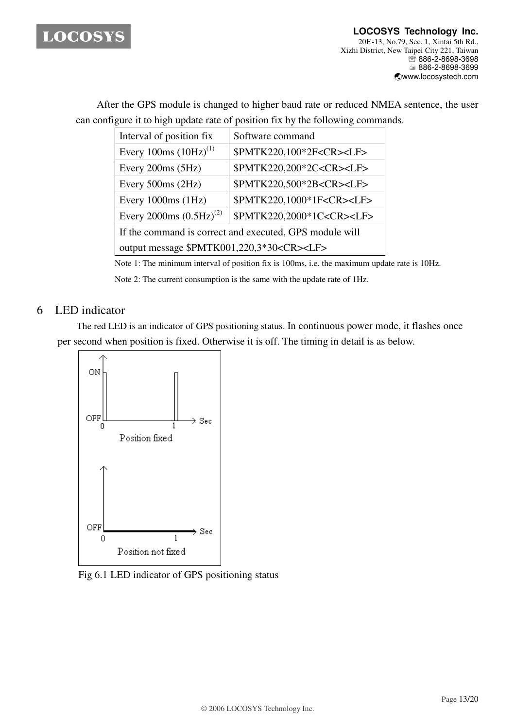

After the GPS module is changed to higher baud rate or reduced NMEA sentence, the user can configure it to high update rate of position fix by the following commands.

| Interval of position fix                                | Software command                     |  |  |
|---------------------------------------------------------|--------------------------------------|--|--|
| Every 100ms $(10 Hz)^{(1)}$                             | \$PMTK220,100*2F <cr><lf></lf></cr>  |  |  |
| Every 200ms (5Hz)                                       | \$PMTK220,200*2C <cr><lf></lf></cr>  |  |  |
| Every $500ms(2Hz)$                                      | \$PMTK220,500*2B <cr><lf></lf></cr>  |  |  |
| Every $1000ms(1Hz)$                                     | \$PMTK220,1000*1F <cr><lf></lf></cr> |  |  |
| Every 2000ms $(0.5 Hz)^{(2)}$                           | \$PMTK220,2000*1C <cr><lf></lf></cr> |  |  |
| If the command is correct and executed, GPS module will |                                      |  |  |
| output message \$PMTK001,220,3*30 <cr><lf></lf></cr>    |                                      |  |  |

Note 1: The minimum interval of position fix is 100ms, i.e. the maximum update rate is 10Hz.

Note 2: The current consumption is the same with the update rate of 1Hz.

# 6 LED indicator

The red LED is an indicator of GPS positioning status. In continuous power mode, it flashes once per second when position is fixed. Otherwise it is off. The timing in detail is as below.



Fig 6.1 LED indicator of GPS positioning status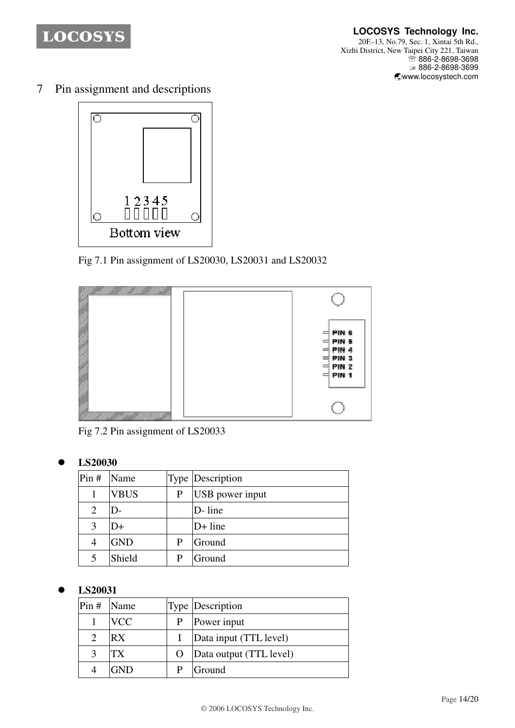

7 Pin assignment and descriptions



Fig 7.1 Pin assignment of LS20030, LS20031 and LS20032



Fig 7.2 Pin assignment of LS20033

# **LS20030**

| Pin#           | Name        |   | <b>Type Description</b> |
|----------------|-------------|---|-------------------------|
|                | <b>VBUS</b> | P | USB power input         |
| $\overline{2}$ | $D-$        |   | D-line                  |
| 3              | D+          |   | $D+$ line               |
| 4              | <b>GND</b>  | P | Ground                  |
|                | Shield      |   | Ground                  |

# **LS20031**

| $Pin#$ Name   |            | Type Description        |
|---------------|------------|-------------------------|
|               | <b>VCC</b> | Power input             |
| $\mathcal{D}$ | RX         | Data input (TTL level)  |
| 3             | TХ         | Data output (TTL level) |
|               | $-ND$      | Ground                  |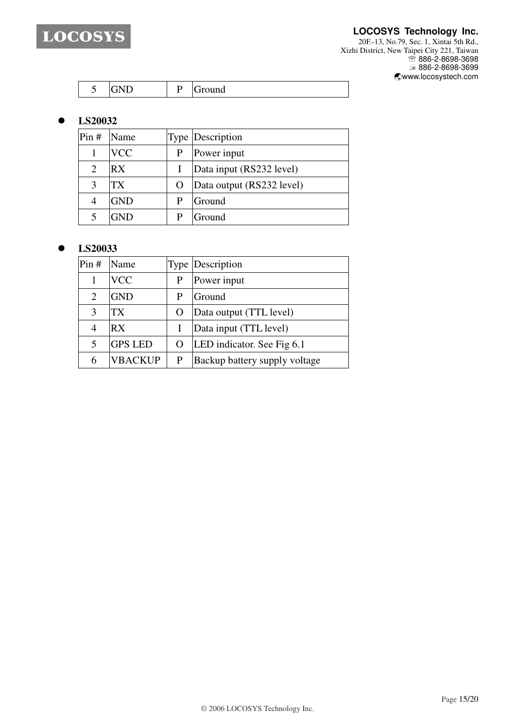

#### **LOCOSYS Technology Inc.**

20F.-13, No.79, Sec. 1, Xintai 5th Rd., Xizhi District, New Taipei City 221, Taiwan <sup>■</sup> 886-2-8698-3698 886-2-8698-3699 -www.locosystech.com

| $\sim$ $\sim$<br>$\overline{\phantom{a}}$<br>$\overline{\phantom{a}}$<br>ັ<br>ັ |  | اصمعت<br><b>UIUUIIU</b> |
|---------------------------------------------------------------------------------|--|-------------------------|
|---------------------------------------------------------------------------------|--|-------------------------|

## **LS20032**

| Pin# | <b>Name</b> | <b>Type Description</b>   |
|------|-------------|---------------------------|
|      | <b>VCC</b>  | Power input               |
| 2    | RX          | Data input (RS232 level)  |
| 3    | TX          | Data output (RS232 level) |
|      | <b>GND</b>  | Ground                    |
|      | GND         | Ground                    |

### **LS20033**

| Pin# | Name           |           | <b>Type Description</b>       |
|------|----------------|-----------|-------------------------------|
|      | <b>VCC</b>     |           | Power input                   |
| 2    | <b>GND</b>     | P         | Ground                        |
| 3    | TX             | $\lambda$ | Data output (TTL level)       |
| 4    | RX             |           | Data input (TTL level)        |
| 5    | <b>GPS LED</b> | O         | LED indicator. See Fig 6.1    |
| 6    | VBACKUP        | P         | Backup battery supply voltage |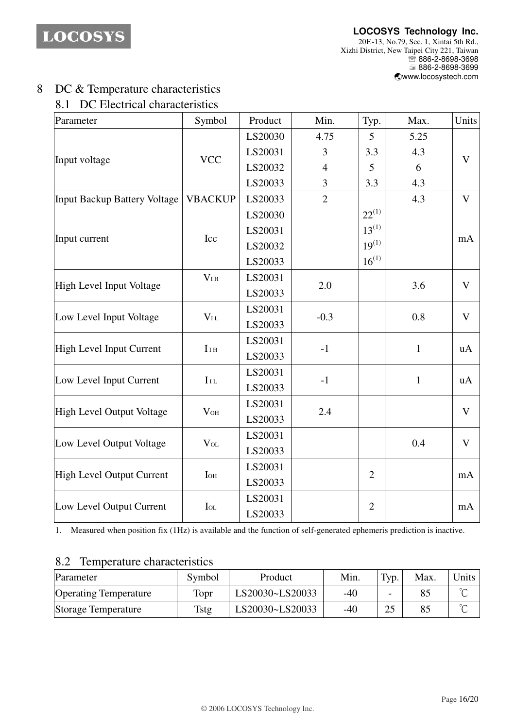**LOCOSYS Technology Inc.** 20F.-13, No.79, Sec. 1, Xintai 5th Rd., Xizhi District, New Taipei City 221, Taiwan <sup>®</sup>886-2-8698-3698 ■ 886-2-8698-3699 -www.locosystech.com

# 8 DC & Temperature characteristics

# 8.1 DC Electrical characteristics

| Parameter                           | Symbol                              | Product | Min.           | Typ.           | Max.         | Units        |
|-------------------------------------|-------------------------------------|---------|----------------|----------------|--------------|--------------|
| Input voltage                       | <b>VCC</b>                          | LS20030 | 4.75           | 5              | 5.25         | V            |
|                                     |                                     | LS20031 | 3              | 3.3            | 4.3          |              |
|                                     |                                     | LS20032 | $\overline{4}$ | 5              | 6            |              |
|                                     |                                     | LS20033 | 3              | 3.3            | 4.3          |              |
| <b>Input Backup Battery Voltage</b> | <b>VBACKUP</b>                      | LS20033 | $\overline{2}$ |                | 4.3          | $\mathbf{V}$ |
| Input current                       | Icc                                 | LS20030 |                | $22^{(1)}$     |              | mA           |
|                                     |                                     | LS20031 |                | $13^{(1)}$     |              |              |
|                                     |                                     | LS20032 |                | $19^{(1)}$     |              |              |
|                                     |                                     | LS20033 |                | $16^{(1)}$     |              |              |
| High Level Input Voltage            | V <sub>I H</sub>                    | LS20031 | 2.0            |                | 3.6          | $\mathbf{V}$ |
|                                     |                                     | LS20033 |                |                |              |              |
| Low Level Input Voltage             | $V_{IL}$                            | LS20031 | $-0.3$         |                |              | $\mathbf V$  |
|                                     |                                     | LS20033 |                |                | 0.8          |              |
| <b>High Level Input Current</b>     | $II$ H                              | LS20031 | $-1$           |                |              | uA           |
|                                     |                                     | LS20033 |                |                | $\mathbf{1}$ |              |
| Low Level Input Current             | $I_{IL}$                            | LS20031 | $-1$           |                |              | uA           |
|                                     |                                     | LS20033 |                |                | $\mathbf{1}$ |              |
| <b>High Level Output Voltage</b>    | $V_{OH}$                            | LS20031 | 2.4            |                |              | $\mathbf V$  |
|                                     |                                     | LS20033 |                |                |              |              |
| Low Level Output Voltage            | $\ensuremath{V}\xspace_{\text{OL}}$ | LS20031 |                |                |              | $\mathbf V$  |
|                                     |                                     | LS20033 |                |                | 0.4          |              |
| <b>High Level Output Current</b>    | <b>I</b> OH                         | LS20031 |                | $\overline{2}$ |              | mA           |
|                                     |                                     | LS20033 |                |                |              |              |
| Low Level Output Current            | $I_{OL}$                            | LS20031 |                |                |              |              |
|                                     |                                     | LS20033 |                | $\overline{2}$ |              | mA           |

1. Measured when position fix (1Hz) is available and the function of self-generated ephemeris prediction is inactive.

## 8.2 Temperature characteristics

| Parameter                    | Symbol      | Product         | Min. | Typ.      | Max. | Units  |
|------------------------------|-------------|-----------------|------|-----------|------|--------|
| <b>Operating Temperature</b> | Topr        | LS20030~LS20033 | -40  |           |      | $\sim$ |
| Storage Temperature          | <b>Tstg</b> | LS20030~LS20033 | -40  | <u>L.</u> |      | $\sim$ |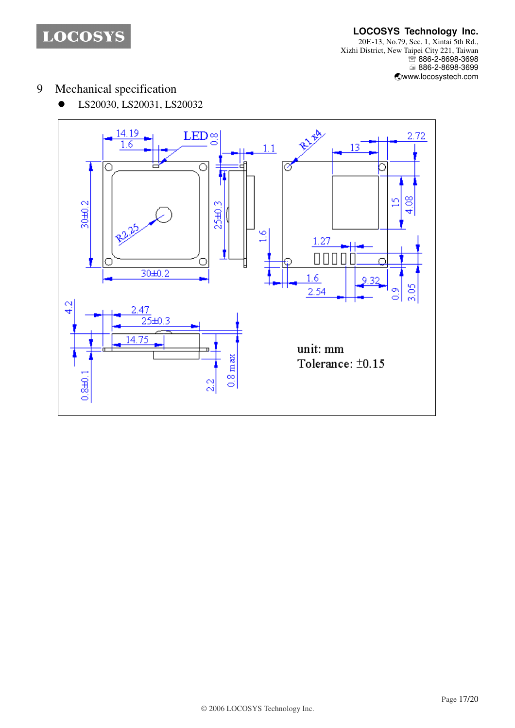**LOCOSYS Technology Inc.** 20F.-13, No.79, Sec. 1, Xintai 5th Rd., Xizhi District, New Taipei City 221, Taiwan <sup>■</sup> 886-2-8698-3698 886-2-8698-3699 -www.locosystech.com

- 9 Mechanical specification
	- LS20030, LS20031, LS20032

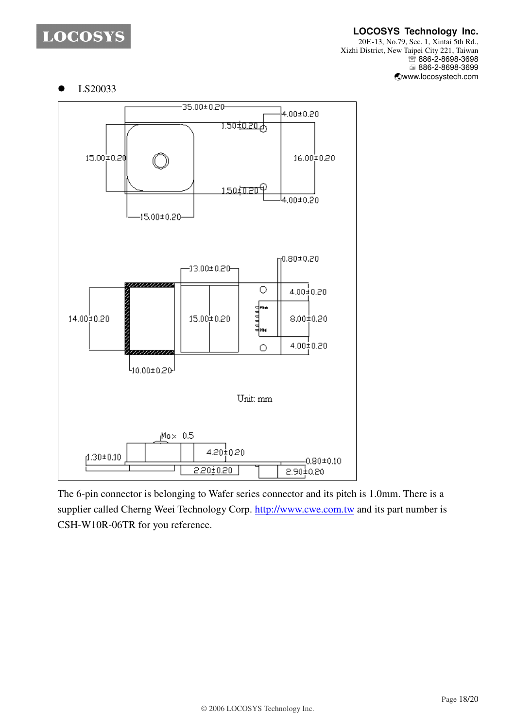### **LOCOSYS Technology Inc.**

20F.-13, No.79, Sec. 1, Xintai 5th Rd., Xizhi District, New Taipei City 221, Taiwan <sup>■</sup> 886-2-8698-3698 886-2-8698-3699 -www.locosystech.com

LS20033



The 6-pin connector is belonging to Wafer series connector and its pitch is 1.0mm. There is a supplier called Cherng Weei Technology Corp. http://www.cwe.com.tw and its part number is CSH-W10R-06TR for you reference.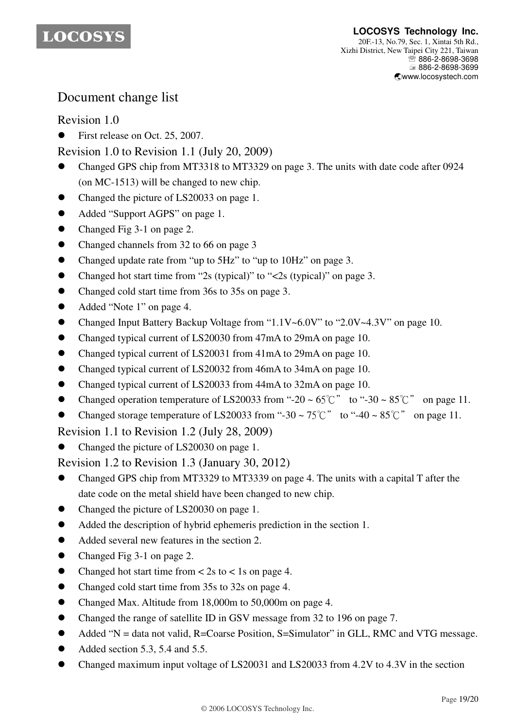

# Document change list

# Revision 1.0

First release on Oct. 25, 2007.

Revision 1.0 to Revision 1.1 (July 20, 2009)

- Changed GPS chip from MT3318 to MT3329 on page 3. The units with date code after 0924 (on MC-1513) will be changed to new chip.
- Changed the picture of LS20033 on page 1.
- Added "Support AGPS" on page 1.
- Changed Fig 3-1 on page 2.
- Changed channels from 32 to 66 on page 3
- Changed update rate from "up to 5Hz" to "up to 10Hz" on page 3.
- Changed hot start time from "2s (typical)" to "<2s (typical)" on page 3.
- Changed cold start time from 36s to 35s on page 3.
- Added "Note 1" on page 4.
- Changed Input Battery Backup Voltage from "1.1V~6.0V" to "2.0V~4.3V" on page 10.
- Changed typical current of LS20030 from 47mA to 29mA on page 10.
- Changed typical current of LS20031 from 41mA to 29mA on page 10.
- Changed typical current of LS20032 from 46mA to 34mA on page 10.
- Changed typical current of LS20033 from 44mA to 32mA on page 10.
- Changed operation temperature of LS20033 from "-20 ~  $65^{\circ}$ " to "-30 ~  $85^{\circ}$ " on page 11.
- Changed storage temperature of LS20033 from "-30 ~  $75^{\circ}$ C" to "-40 ~  $85^{\circ}$ C" on page 11.

Revision 1.1 to Revision 1.2 (July 28, 2009)

Changed the picture of LS20030 on page 1.

Revision 1.2 to Revision 1.3 (January 30, 2012)

- Changed GPS chip from MT3329 to MT3339 on page 4. The units with a capital T after the date code on the metal shield have been changed to new chip.
- Changed the picture of LS20030 on page 1.
- Added the description of hybrid ephemeris prediction in the section 1.
- Added several new features in the section 2.
- Changed Fig 3-1 on page 2.
- Changed hot start time from  $\lt$  2s to  $\lt$  1s on page 4.
- Changed cold start time from 35s to 32s on page 4.
- Changed Max. Altitude from 18,000m to 50,000m on page 4.
- Changed the range of satellite ID in GSV message from 32 to 196 on page 7.
- Added "N = data not valid, R=Coarse Position, S=Simulator" in GLL, RMC and VTG message.
- Added section 5.3, 5.4 and 5.5.
- Changed maximum input voltage of LS20031 and LS20033 from 4.2V to 4.3V in the section